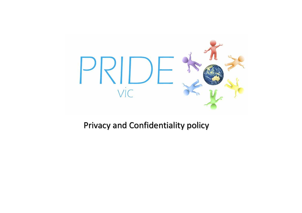

### Privacy and Confidentiality policy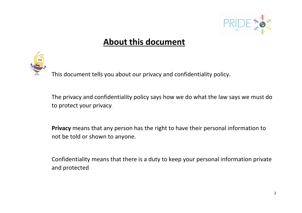

### **About this document**



The privacy and confidentiality policy says how we do what the law says we must do to protect your privacy.

**Privacy** means that any person has the right to have their personal information to not be told or shown to anyone.

Confidentiality means that there is a duty to keep your personal information private and protected.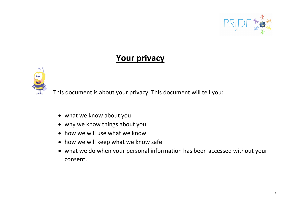

#### **Your privacy**



This document is about your privacy. This document will tell you:

- what we know about you
- why we know things about you
- how we will use what we know
- how we will keep what we know safe
- what we do when your personal information has been accessed without your consent.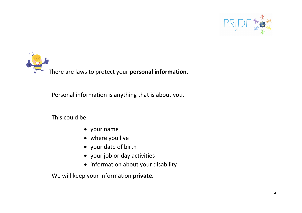

There are laws to protect your **personal information**.

Personal information is anything that is about you.

This could be:

- your name
- where you live
- your date of birth
- your job or day activities
- information about your disability

We will keep your information **private.**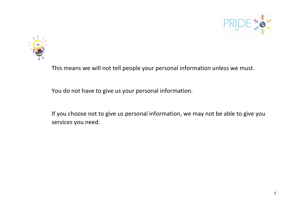



This means we will not tell people your personal information unless we must.

You do not have to give us your personal information.

If you choose not to give us personal information, we may not be able to give you services you need.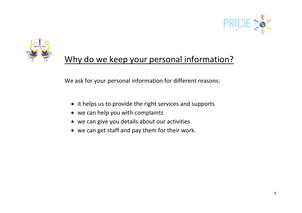



## Why do we keep your personal information?

We ask for your personal information for different reasons:

- it helps us to provide the right services and supports
- we can help you with complaints
- we can give you details about our activities
- we can get staff and pay them for their work.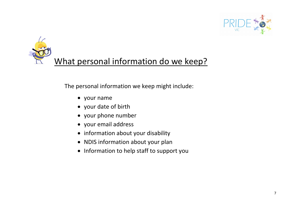



The personal information we keep might include:

- your name
- your date of birth
- your phone number
- your email address
- information about your disability
- NDIS information about your plan
- Information to help staff to support you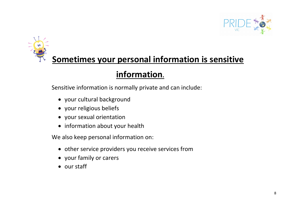

# **Sometimes your personal information is sensitive**

## **information.**

Sensitive information is normally private and can include:

- your cultural background
- your religious beliefs
- your sexual orientation
- information about your health

We also keep personal information on:

- other service providers you receive services from
- your family or carers
- our staff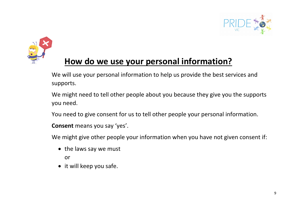



### **How do we use your personal information?**

We will use your personal information to help us provide the best services and supports.

We might need to tell other people about you because they give you the supports you need.

You need to give consent for us to tell other people your personal information.

**Consent** means you say 'yes'.

We might give other people your information when you have not given consent if:

• the laws say we must

or

• it will keep you safe.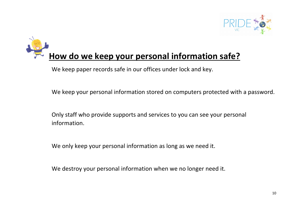

# **How do we keep your personal information safe?**

We keep paper records safe in our offices under lock and key.

We keep your personal information stored on computers protected with a password.

Only staff who provide supports and services to you can see your personal information.

We only keep your personal information as long as we need it.

We destroy your personal information when we no longer need it.